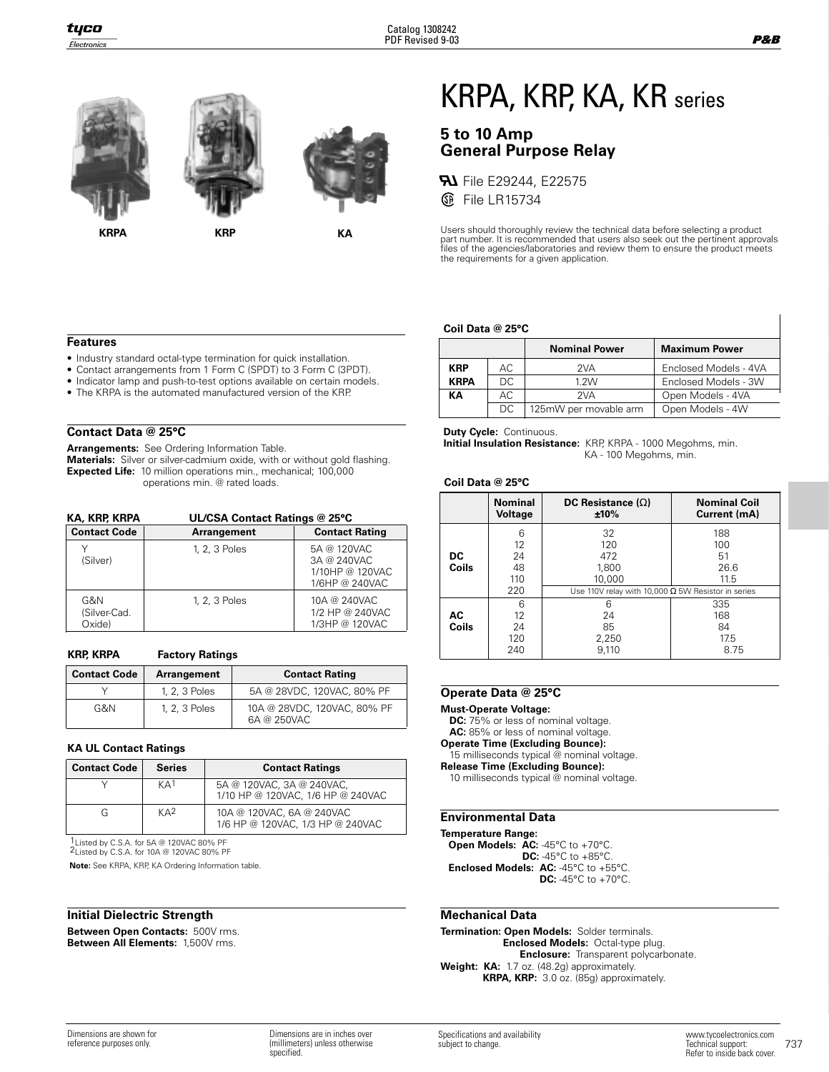

**KRPA KRP KA**

# KRPA, KRP, KA, KR series

## **5 to 10 Amp General Purpose Relay**

**FLI** File E29244, E22575 *S* File LR15734

Users should thoroughly review the technical data before selecting a product<br>part number. It is recommended that users also seek out the pertinent approvals<br>files of the agencies/laboratories and review them to ensure the the requirements for a given application.

#### **Coil Data @ 25°C**

|                          |            | <b>Nominal Power</b>  | <b>Maximum Power</b>  |  |  |  |
|--------------------------|------------|-----------------------|-----------------------|--|--|--|
| AC.<br><b>KRP</b><br>2VA |            |                       | Enclosed Models - 4VA |  |  |  |
| <b>KRPA</b>              | DC.        | 1.2W                  | Enclosed Models - 3W  |  |  |  |
| KА                       | AC.<br>2VA |                       | Open Models - 4VA     |  |  |  |
|                          | DC         | 125mW per movable arm | Open Models - 4W      |  |  |  |

## **Contact Data @ 25°C**

**Features**

**Arrangements:** See Ordering Information Table.

**Materials:** Silver or silver-cadmium oxide, with or without gold flashing. **Expected Life:** 10 million operations min., mechanical; 100,000 operations min. @ rated loads.

• Industry standard octal-type termination for quick installation. • Contact arrangements from 1 Form C (SPDT) to 3 Form C (3PDT). • Indicator lamp and push-to-test options available on certain models. • The KRPA is the automated manufactured version of the KRP.

| <b>KA, KRP, KRPA</b>          | UL/CSA Contact Ratings @ 25°C |                                                                 |  |  |  |
|-------------------------------|-------------------------------|-----------------------------------------------------------------|--|--|--|
| <b>Contact Code</b>           | Arrangement                   | <b>Contact Rating</b>                                           |  |  |  |
| (Silver)                      | 1, 2, 3 Poles                 | 5A @ 120VAC<br>3A @ 240VAC<br>1/10HP @ 120VAC<br>1/6HP @ 240VAC |  |  |  |
| G&N<br>(Silver-Cad.<br>Oxide) | 1, 2, 3 Poles                 | 10A @ 240VAC<br>1/2 HP @ 240VAC<br>1/3HP @ 120VAC               |  |  |  |

#### **KRP, KRPA**

| <b>Factory Ratings</b> |  |
|------------------------|--|
|------------------------|--|

| <b>Contact Code</b> | Arrangement   | <b>Contact Rating</b>                      |  |  |  |
|---------------------|---------------|--------------------------------------------|--|--|--|
|                     | 1, 2, 3 Poles | 5A @ 28VDC, 120VAC, 80% PF                 |  |  |  |
| G&N                 | 1, 2, 3 Poles | 10A @ 28VDC, 120VAC, 80% PF<br>6A @ 250VAC |  |  |  |

### **KA UL Contact Ratings**

| <b>Contact Code</b> | <b>Series</b>   | <b>Contact Ratings</b>                                         |
|---------------------|-----------------|----------------------------------------------------------------|
|                     | KA <sup>1</sup> | 5A @ 120VAC, 3A @ 240VAC,<br>1/10 HP @ 120VAC, 1/6 HP @ 240VAC |
|                     | $K\mathbf{A}^2$ | 10A @ 120VAC, 6A @ 240VAC<br>1/6 HP @ 120VAC, 1/3 HP @ 240VAC  |

1Listed by C.S.A. for 5A @ 120VAC 80% PF 2Listed by C.S.A. for 10A @ 120VAC 80% PF

**Note:** See KRPA, KRP, KA Ordering Information table.

## **Initial Dielectric Strength**

**Between Open Contacts:** 500V rms. **Between All Elements:** 1,500V rms.

**Duty Cycle:** Continuous.

**Initial Insulation Resistance:** KRP, KRPA - 1000 Megohms, min. KA - 100 Megohms, min.

#### **Coil Data @ 25°C**

|                    | <b>Nominal</b><br>Voltage   | DC Resistance $(\Omega)$<br>±10%                          | <b>Nominal Coil</b><br>Current (mA) |
|--------------------|-----------------------------|-----------------------------------------------------------|-------------------------------------|
| DC<br><b>Coils</b> | 6<br>12<br>24<br>48<br>110  | 32<br>120<br>472<br>1,800<br>10,000                       | 188<br>100<br>51<br>26.6<br>11.5    |
|                    | 220                         | Use 110V relay with 10,000 $\Omega$ 5W Resistor in series |                                     |
| АC<br><b>Coils</b> | 6<br>12<br>24<br>120<br>240 | հ<br>24<br>85<br>2,250<br>9.110                           | 335<br>168<br>84<br>17.5<br>8.75    |

#### **Operate Data @ 25°C**

**Must-Operate Voltage:** 

**DC:** 75% or less of nominal voltage. AC: 85% or less of nominal voltage.

**Operate Time (Excluding Bounce):**

15 milliseconds typical @ nominal voltage.

**Release Time (Excluding Bounce):**

10 milliseconds typical @ nominal voltage.

### **Environmental Data**

**Temperature Range: Open Models: AC:** -45°C to +70°C. **DC:** -45°C to +85°C. **Enclosed Models: AC:** -45°C to +55°C. **DC:** -45°C to +70°C.

## **Mechanical Data**

**Termination: Open Models:** Solder terminals. **Enclosed Models:** Octal-type plug. **Enclosure:** Transparent polycarbonate. **Weight: KA:** 1.7 oz. (48.2g) approximately. **KRPA, KRP:** 3.0 oz. (85g) approximately.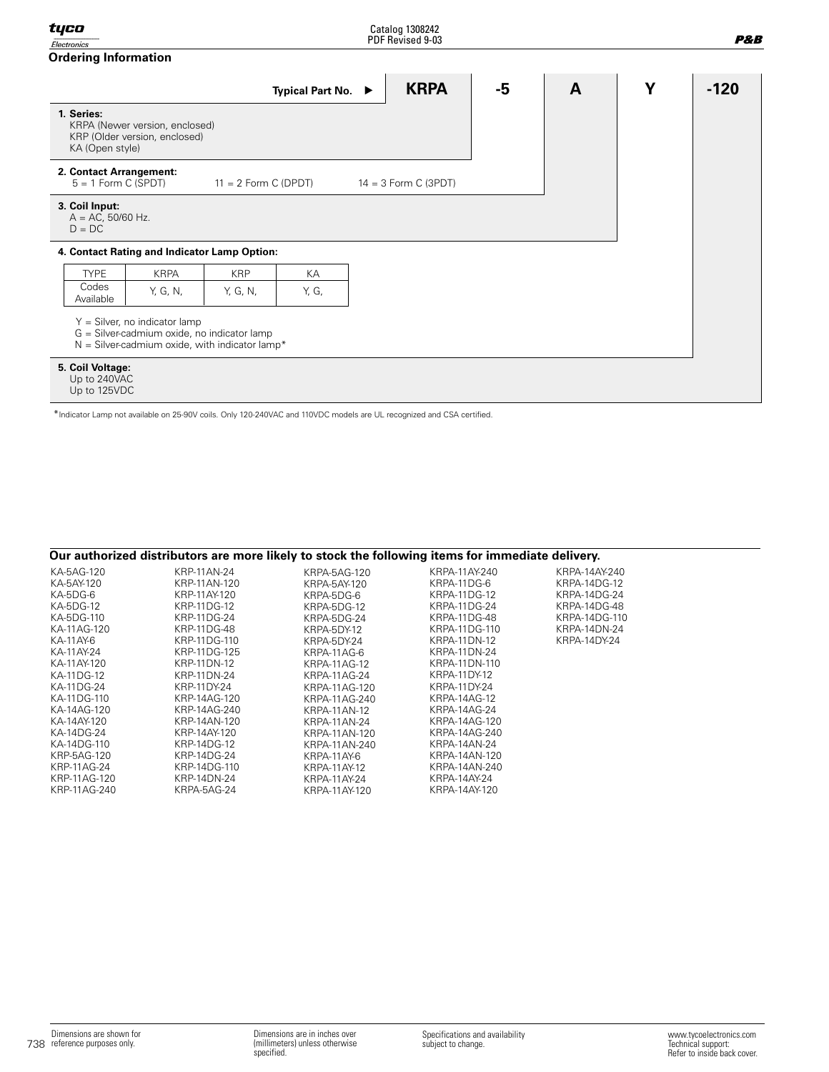| Electronics                                        |                                                                                  |                                                  |                    | PDF Revised 9-03       |      |              |   | P&B    |
|----------------------------------------------------|----------------------------------------------------------------------------------|--------------------------------------------------|--------------------|------------------------|------|--------------|---|--------|
| <b>Ordering Information</b>                        |                                                                                  |                                                  |                    |                        |      |              |   |        |
|                                                    |                                                                                  |                                                  | Typical Part No. ▶ | <b>KRPA</b>            | $-5$ | $\mathbf{A}$ | Y | $-120$ |
| 1. Series:<br>KA (Open style)                      | KRPA (Newer version, enclosed)<br>KRP (Older version, enclosed)                  |                                                  |                    |                        |      |              |   |        |
| 2. Contact Arrangement:<br>$5 = 1$ Form C (SPDT)   |                                                                                  | $11 = 2$ Form C (DPDT)                           |                    | $14 = 3$ Form C (3PDT) |      |              |   |        |
| 3. Coil Input:<br>$A = AC$ , 50/60 Hz.<br>$D = DC$ |                                                                                  |                                                  |                    |                        |      |              |   |        |
|                                                    |                                                                                  | 4. Contact Rating and Indicator Lamp Option:     |                    |                        |      |              |   |        |
| <b>TYPE</b>                                        | <b>KRPA</b>                                                                      | <b>KRP</b>                                       | КA                 |                        |      |              |   |        |
| Codes<br>Available                                 | Y, G, N,                                                                         | Y, G, N,                                         | Y, G,              |                        |      |              |   |        |
|                                                    | $Y =$ Silver, no indicator lamp<br>$G =$ Silver-cadmium oxide, no indicator lamp | $N =$ Silver-cadmium oxide, with indicator lamp* |                    |                        |      |              |   |        |
| 5. Coil Voltage:<br>Up to 240VAC<br>Up to 125VDC   |                                                                                  |                                                  |                    |                        |      |              |   |        |

\*Indicator Lamp not available on 25-90V coils. Only 120-240VAC and 110VDC models are UL recognized and CSA certified.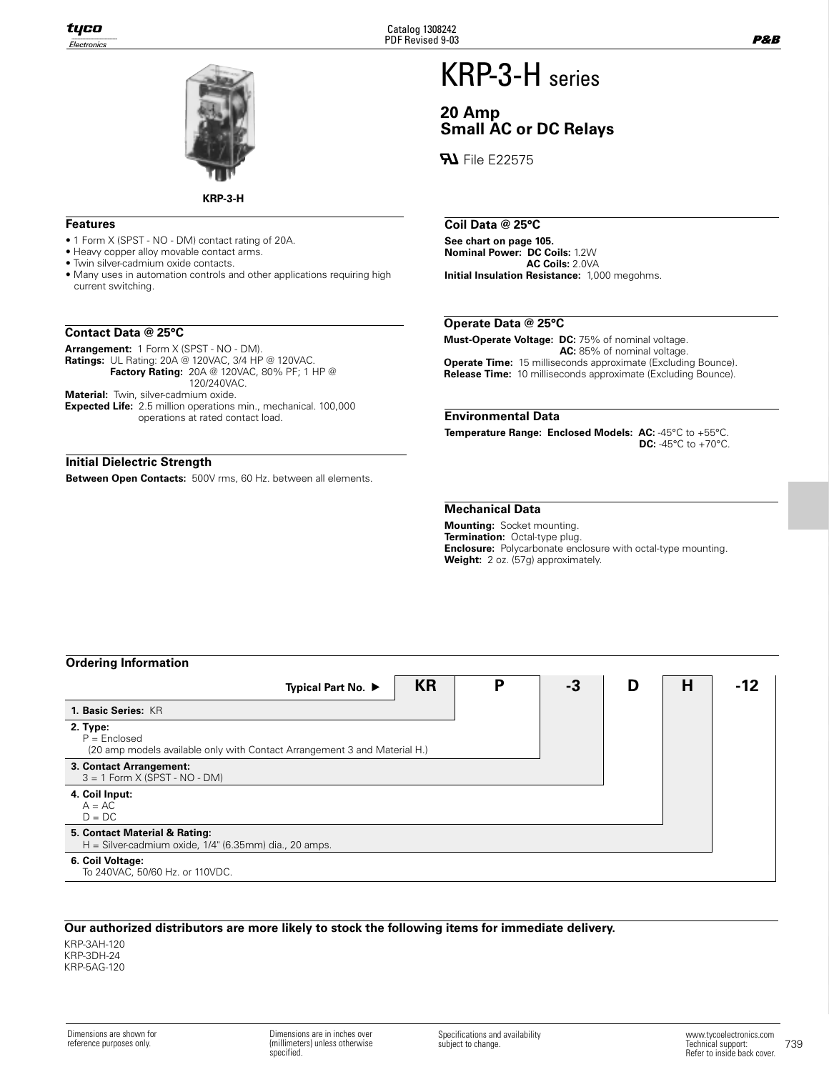

**KRP-3-H**

## **Features**

- 1 Form X (SPST NO DM) contact rating of 20A.
- Heavy copper alloy movable contact arms.
- Twin silver-cadmium oxide contacts.
- Many uses in automation controls and other applications requiring high current switching.

## **Contact Data @ 25°C**

**Arrangement:** 1 Form X (SPST - NO - DM).

**Ratings:** UL Rating: 20A @ 120VAC, 3/4 HP @ 120VAC.

**Factory Rating:** 20A @ 120VAC, 80% PF; 1 HP @ 120/240VAC.

**Material:** Twin, silver-cadmium oxide.

**Expected Life:** 2.5 million operations min., mechanical. 100,000 operations at rated contact load.

## **Initial Dielectric Strength**

**Between Open Contacts:** 500V rms, 60 Hz. between all elements.

## KRP-3-H series

## **20 Amp Small AC or DC Relays**

**File E22575** 

## **Coil Data @ 25°C**

**See chart on page 105. Nominal Power: DC Coils:** 1.2W **AC Coils:** 2.0VA **Initial Insulation Resistance:** 1,000 megohms.

## **Operate Data @ 25°C**

**Must-Operate Voltage: DC:** 75% of nominal voltage. **AC:** 85% of nominal voltage. **Operate Time:** 15 milliseconds approximate (Excluding Bounce). **Release Time:** 10 milliseconds approximate (Excluding Bounce).

## **Environmental Data**

**Temperature Range: Enclosed Models: AC:** -45°C to +55°C. **DC:** -45°C to +70°C.

## **Mechanical Data**

**Mounting:** Socket mounting. **Termination:** Octal-type plug. **Enclosure:** Polycarbonate enclosure with octal-type mounting. **Weight:** 2 oz. (57g) approximately.

## **Ordering Information**

| <b>UNGLING INDITIONAL</b>                                                                               |           |   |    |   |   |  |
|---------------------------------------------------------------------------------------------------------|-----------|---|----|---|---|--|
| Typical Part No. ▶                                                                                      | <b>KR</b> | D | -3 | D | Н |  |
| 1. Basic Series: KR                                                                                     |           |   |    |   |   |  |
| 2. Type:<br>$P =$ Enclosed<br>(20 amp models available only with Contact Arrangement 3 and Material H.) |           |   |    |   |   |  |
| 3. Contact Arrangement:<br>$3 = 1$ Form X (SPST - NO - DM)                                              |           |   |    |   |   |  |
| 4. Coil Input:<br>$A = AC$<br>$D = DC$                                                                  |           |   |    |   |   |  |
| 5. Contact Material & Rating:<br>$H =$ Silver-cadmium oxide, $1/4$ " (6.35mm) dia., 20 amps.            |           |   |    |   |   |  |
| 6. Coil Voltage:<br>To 240VAC, 50/60 Hz. or 110VDC.                                                     |           |   |    |   |   |  |

## **Our authorized distributors are more likely to stock the following items for immediate delivery.**

KRP-3AH-120 KRP-3DH-24 KRP-5AG-120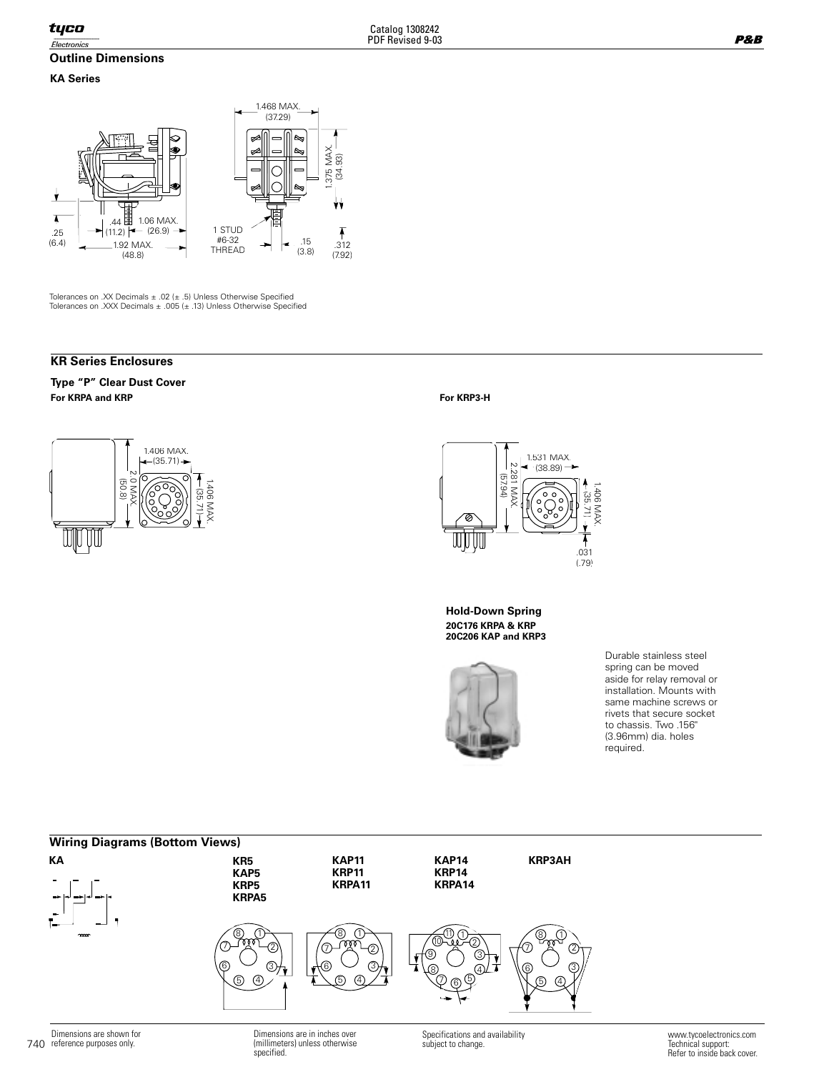## **Outline Dimensions**

## **KA Series**



Tolerances on .XX Decimals ± .02 (± .5) Unless Otherwise Specified Tolerances on .XXX Decimals ± .005 (± .13) Unless Otherwise Specified

## **KR Series Enclosures**

**For KRPA and KRP For KRP3-H Type "P" Clear Dust Cover**





**20C176 KRPA & KRP 20C206 KAP and KRP3 Hold-Down Spring**



Durable stainless steel spring can be moved aside for relay removal or installation. Mounts with same machine screws or rivets that secure socket to chassis. Two .156" (3.96mm) dia. holes required.